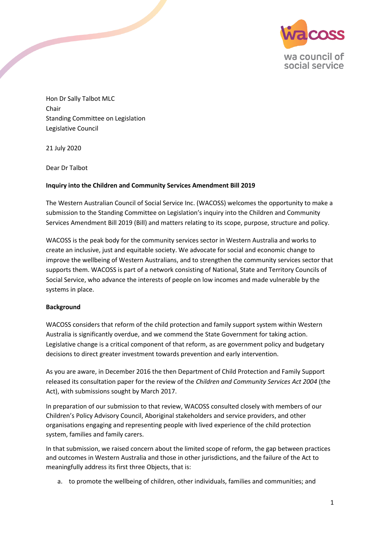

Hon Dr Sally Talbot MLC Chair Standing Committee on Legislation Legislative Council

21 July 2020

Dear Dr Talbot

## **Inquiry into the Children and Community Services Amendment Bill 2019**

The Western Australian Council of Social Service Inc. (WACOSS) welcomes the opportunity to make a submission to the Standing Committee on Legislation's inquiry into the Children and Community Services Amendment Bill 2019 (Bill) and matters relating to its scope, purpose, structure and policy.

WACOSS is the peak body for the community services sector in Western Australia and works to create an inclusive, just and equitable society. We advocate for social and economic change to improve the wellbeing of Western Australians, and to strengthen the community services sector that supports them. WACOSS is part of a network consisting of National, State and Territory Councils of Social Service, who advance the interests of people on low incomes and made vulnerable by the systems in place.

## **Background**

WACOSS considers that reform of the child protection and family support system within Western Australia is significantly overdue, and we commend the State Government for taking action. Legislative change is a critical component of that reform, as are government policy and budgetary decisions to direct greater investment towards prevention and early intervention.

As you are aware, in December 2016 the then Department of Child Protection and Family Support released its consultation paper for the review of the *Children and Community Services Act 2004* (the Act), with submissions sought by March 2017.

In preparation of our submission to that review, WACOSS consulted closely with members of our Children's Policy Advisory Council, Aboriginal stakeholders and service providers, and other organisations engaging and representing people with lived experience of the child protection system, families and family carers.

In that submission, we raised concern about the limited scope of reform, the gap between practices and outcomes in Western Australia and those in other jurisdictions, and the failure of the Act to meaningfully address its first three Objects, that is:

a. to promote the wellbeing of children, other individuals, families and communities; and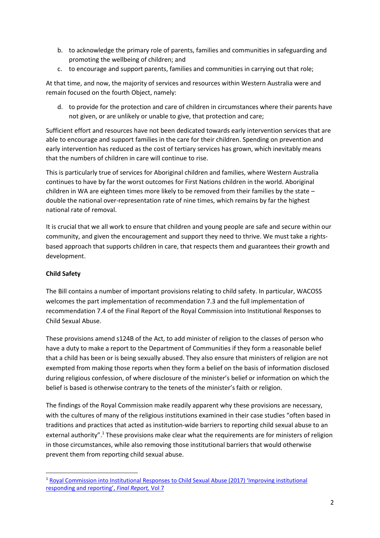- b. to acknowledge the primary role of parents, families and communities in safeguarding and promoting the wellbeing of children; and
- c. to encourage and support parents, families and communities in carrying out that role;

At that time, and now, the majority of services and resources within Western Australia were and remain focused on the fourth Object, namely:

d. to provide for the protection and care of children in circumstances where their parents have not given, or are unlikely or unable to give, that protection and care;

Sufficient effort and resources have not been dedicated towards early intervention services that are able to encourage and support families in the care for their children. Spending on prevention and early intervention has reduced as the cost of tertiary services has grown, which inevitably means that the numbers of children in care will continue to rise.

This is particularly true of services for Aboriginal children and families, where Western Australia continues to have by far the worst outcomes for First Nations children in the world. Aboriginal children in WA are eighteen times more likely to be removed from their families by the state – double the national over-representation rate of nine times, which remains by far the highest national rate of removal.

It is crucial that we all work to ensure that children and young people are safe and secure within our community, and given the encouragement and support they need to thrive. We must take a rightsbased approach that supports children in care, that respects them and guarantees their growth and development.

# **Child Safety**

**.** 

The Bill contains a number of important provisions relating to child safety. In particular, WACOSS welcomes the part implementation of recommendation 7.3 and the full implementation of recommendation 7.4 of the Final Report of the Royal Commission into Institutional Responses to Child Sexual Abuse.

These provisions amend s124B of the Act, to add minister of religion to the classes of person who have a duty to make a report to the Department of Communities if they form a reasonable belief that a child has been or is being sexually abused. They also ensure that ministers of religion are not exempted from making those reports when they form a belief on the basis of information disclosed during religious confession, of where disclosure of the minister's belief or information on which the belief is based is otherwise contrary to the tenets of the minister's faith or religion.

The findings of the Royal Commission make readily apparent why these provisions are necessary, with the cultures of many of the religious institutions examined in their case studies "often based in traditions and practices that acted as institution-wide barriers to reporting child sexual abuse to an external authority".<sup>1</sup> These provisions make clear what the requirements are for ministers of religion in those circumstances, while also removing those institutional barriers that would otherwise prevent them from reporting child sexual abuse.

<sup>1</sup> [Royal Commission into Institutional Responses to Child Sexual Abuse \(2017\) 'Improving institutional](https://www.childabuseroyalcommission.gov.au/sites/default/files/final_report_-_volume_7_improving_institutional_responding_and_reporting.pdf)  [responding and reporting',](https://www.childabuseroyalcommission.gov.au/sites/default/files/final_report_-_volume_7_improving_institutional_responding_and_reporting.pdf) *Final Report,* Vol 7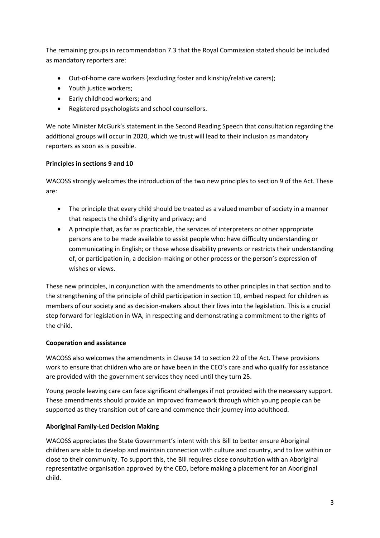The remaining groups in recommendation 7.3 that the Royal Commission stated should be included as mandatory reporters are:

- Out-of-home care workers (excluding foster and kinship/relative carers);
- Youth justice workers;
- Early childhood workers; and
- Registered psychologists and school counsellors.

We note Minister McGurk's statement in the Second Reading Speech that consultation regarding the additional groups will occur in 2020, which we trust will lead to their inclusion as mandatory reporters as soon as is possible.

## **Principles in sections 9 and 10**

WACOSS strongly welcomes the introduction of the two new principles to section 9 of the Act. These are:

- The principle that every child should be treated as a valued member of society in a manner that respects the child's dignity and privacy; and
- A principle that, as far as practicable, the services of interpreters or other appropriate persons are to be made available to assist people who: have difficulty understanding or communicating in English; or those whose disability prevents or restricts their understanding of, or participation in, a decision-making or other process or the person's expression of wishes or views.

These new principles, in conjunction with the amendments to other principles in that section and to the strengthening of the principle of child participation in section 10, embed respect for children as members of our society and as decision-makers about their lives into the legislation. This is a crucial step forward for legislation in WA, in respecting and demonstrating a commitment to the rights of the child.

## **Cooperation and assistance**

WACOSS also welcomes the amendments in Clause 14 to section 22 of the Act. These provisions work to ensure that children who are or have been in the CEO's care and who qualify for assistance are provided with the government services they need until they turn 25.

Young people leaving care can face significant challenges if not provided with the necessary support. These amendments should provide an improved framework through which young people can be supported as they transition out of care and commence their journey into adulthood.

## **Aboriginal Family-Led Decision Making**

WACOSS appreciates the State Government's intent with this Bill to better ensure Aboriginal children are able to develop and maintain connection with culture and country, and to live within or close to their community. To support this, the Bill requires close consultation with an Aboriginal representative organisation approved by the CEO, before making a placement for an Aboriginal child.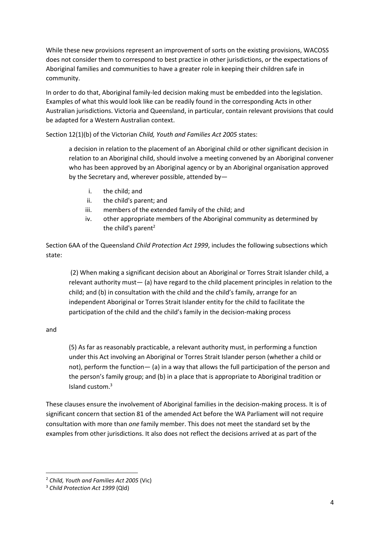While these new provisions represent an improvement of sorts on the existing provisions, WACOSS does not consider them to correspond to best practice in other jurisdictions, or the expectations of Aboriginal families and communities to have a greater role in keeping their children safe in community.

In order to do that, Aboriginal family-led decision making must be embedded into the legislation. Examples of what this would look like can be readily found in the corresponding Acts in other Australian jurisdictions. Victoria and Queensland, in particular, contain relevant provisions that could be adapted for a Western Australian context.

Section 12(1)(b) of the Victorian *Child, Youth and Families Act 2005* states:

a decision in relation to the placement of an Aboriginal child or other significant decision in relation to an Aboriginal child, should involve a meeting convened by an Aboriginal convener who has been approved by an Aboriginal agency or by an Aboriginal organisation approved by the Secretary and, wherever possible, attended by—

- i. the child; and
- ii. the child's parent; and
- iii. members of the extended family of the child; and
- iv. other appropriate members of the Aboriginal community as determined by the child's parent<sup>2</sup>

Section 6AA of the Queensland *Child Protection Act 1999*, includes the following subsections which state:

(2) When making a significant decision about an Aboriginal or Torres Strait Islander child, a relevant authority must— (a) have regard to the child placement principles in relation to the child; and (b) in consultation with the child and the child's family, arrange for an independent Aboriginal or Torres Strait Islander entity for the child to facilitate the participation of the child and the child's family in the decision-making process

## and

**.** 

(5) As far as reasonably practicable, a relevant authority must, in performing a function under this Act involving an Aboriginal or Torres Strait Islander person (whether a child or not), perform the function— (a) in a way that allows the full participation of the person and the person's family group; and (b) in a place that is appropriate to Aboriginal tradition or Island custom.<sup>3</sup>

These clauses ensure the involvement of Aboriginal families in the decision-making process. It is of significant concern that section 81 of the amended Act before the WA Parliament will not require consultation with more than *one* family member. This does not meet the standard set by the examples from other jurisdictions. It also does not reflect the decisions arrived at as part of the

<sup>2</sup> *Child, Youth and Families Act 2005* (Vic)

<sup>3</sup> *Child Protection Act 1999* (Qld)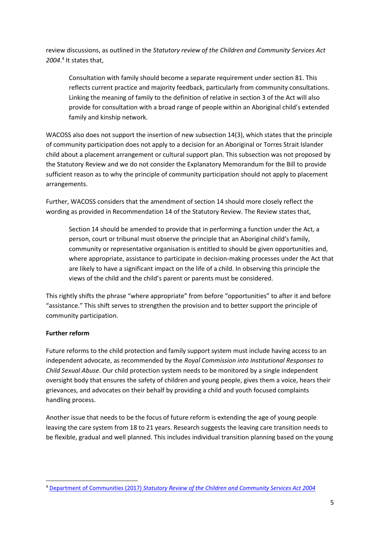review discussions, as outlined in the *Statutory review of the Children and Community Services Act 2004*. 4 It states that,

Consultation with family should become a separate requirement under section 81. This reflects current practice and majority feedback, particularly from community consultations. Linking the meaning of family to the definition of relative in section 3 of the Act will also provide for consultation with a broad range of people within an Aboriginal child's extended family and kinship network.

WACOSS also does not support the insertion of new subsection 14(3), which states that the principle of community participation does not apply to a decision for an Aboriginal or Torres Strait Islander child about a placement arrangement or cultural support plan. This subsection was not proposed by the Statutory Review and we do not consider the Explanatory Memorandum for the Bill to provide sufficient reason as to why the principle of community participation should not apply to placement arrangements.

Further, WACOSS considers that the amendment of section 14 should more closely reflect the wording as provided in Recommendation 14 of the Statutory Review. The Review states that,

Section 14 should be amended to provide that in performing a function under the Act, a person, court or tribunal must observe the principle that an Aboriginal child's family, community or representative organisation is entitled to should be given opportunities and, where appropriate, assistance to participate in decision-making processes under the Act that are likely to have a significant impact on the life of a child. In observing this principle the views of the child and the child's parent or parents must be considered.

This rightly shifts the phrase "where appropriate" from before "opportunities" to after it and before "assistance." This shift serves to strengthen the provision and to better support the principle of community participation.

# **Further reform**

Future reforms to the child protection and family support system must include having access to an independent advocate, as recommended by the *Royal Commission into Institutional Responses to Child Sexual Abuse*. Our child protection system needs to be monitored by a single independent oversight body that ensures the safety of children and young people, gives them a voice, hears their grievances, and advocates on their behalf by providing a child and youth focused complaints handling process.

Another issue that needs to be the focus of future reform is extending the age of young people leaving the care system from 18 to 21 years. Research suggests the leaving care transition needs to be flexible, gradual and well planned. This includes individual transition planning based on the young

**<sup>.</sup>** <sup>4</sup> Department of Communities (2017) *[Statutory Review of the Children and Community Services Act 2004](https://www.dcp.wa.gov.au/ccsactreview/Documents/Statutory%20Review%20of%20the%20Children%20and%20Community%20Services%20Act%202004.pdf)*